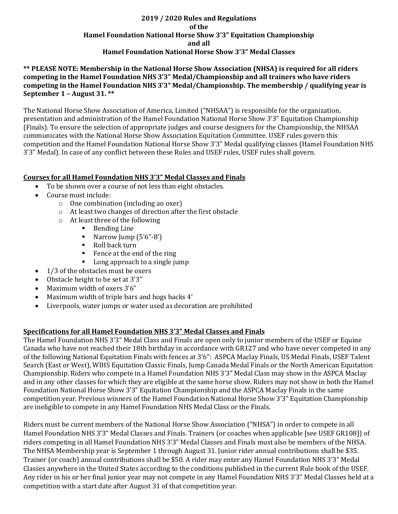# **2019 / 2020 Rules and Regulations of the Hamel Foundation National Horse Show 3'3" Equitation Championship and all Hamel Foundation National Horse Show 3'3" Medal Classes**

# **\*\* PLEASE NOTE: Membership in the National Horse Show Association (NHSA) is required for all riders competing in the Hamel Foundation NHS 3'3" Medal/Championship and all trainers who have riders competing in the Hamel Foundation NHS 3'3" Medal/Championship. The membership / qualifying year is September 1 – August 31. \*\***

The National Horse Show Association of America, Limited ("NHSAA") is responsible for the organization, presentation and administration of the Hamel Foundation National Horse Show 3'3" Equitation Championship (Finals). To ensure the selection of appropriate judges and course designers for the Championship, the NHSAA communicates with the National Horse Show Association Equitation Committee. USEF rules govern this competition and the Hamel Foundation National Horse Show 3'3" Medal qualifying classes (Hamel Foundation NHS 3'3" Medal). In case of any conflict between these Rules and USEF rules, USEF rules shall govern.

# **Courses for all Hamel Foundation NHS 3'3" Medal Classes and Finals**

- To be shown over a course of not less than eight obstacles.
- Course must include:
	- o One combination (including an oxer)
	- o At least two changes of direction after the first obstacle
	- o At least three of the following
		- Bending Line
		- Narrow Jump (5'6"-8')
		- Roll back turn
		- Fence at the end of the ring
		- Long approach to a single jump
- 1/3 of the obstacles must be oxers
- Obstacle height to be set at 3'3"
- Maximum width of oxers 3'6"
- Maximum width of triple bars and hogs backs 4'
- Liverpools, water jumps or water used as decoration are prohibited

# **Specifications for all Hamel Foundation NHS 3'3" Medal Classes and Finals**

The Hamel Foundation NHS 3'3" Medal Class and Finals are open only to junior members of the USEF or Equine Canada who have not reached their 18th birthday in accordance with GR127 and who have never competed in any of the following National Equitation Finals with fences at 3'6": ASPCA Maclay Finals, US Medal Finals, USEF Talent Search (East or West), WIHS Equitation Classic Finals, Jump Canada Medal Finals or the North American Equitation Championship. Riders who compete in a Hamel Foundation NHS 3'3" Medal Class may show in the ASPCA Maclay and in any other classes for which they are eligible at the same horse show. Riders may not show in both the Hamel Foundation National Horse Show 3'3" Equitation Championship and the ASPCA Maclay Finals in the same competition year. Previous winners of the Hamel Foundation National Horse Show 3'3" Equitation Championship are ineligible to compete in any Hamel Foundation NHS Medal Class or the Finals.

Riders must be current members of the National Horse Show Association ("NHSA") in order to compete in all Hamel Foundation NHS 3'3" Medal Classes and Finals. Trainers (or coaches when applicable [see USEF GR108]) of riders competing in all Hamel Foundation NHS 3'3" Medal Classes and Finals must also be members of the NHSA. The NHSA Membership year is September 1 through August 31. Junior rider annual contributions shall be \$35. Trainer (or coach) annual contributions shall be \$50. A rider may enter any Hamel Foundation NHS 3'3" Medal Classes anywhere in the United States according to the conditions published in the current Rule book of the USEF. Any rider in his or her final junior year may not compete in any Hamel Foundation NHS 3'3" Medal Classes held at a competition with a start date after August 31 of that competition year.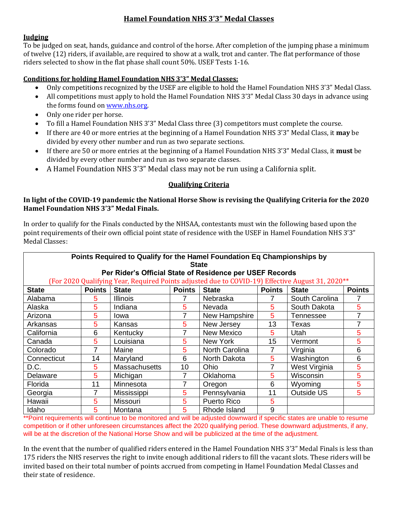# **Hamel Foundation NHS 3'3" Medal Classes**

# **Judging**

To be judged on seat, hands, guidance and control of the horse. After completion of the jumping phase a minimum of twelve (12) riders, if available, are required to show at a walk, trot and canter. The flat performance of those riders selected to show in the flat phase shall count 50%. USEF Tests 1-16.

# **Conditions for holding Hamel Foundation NHS 3'3" Medal Classes:**

- Only competitions recognized by the USEF are eligible to hold the Hamel Foundation NHS 3'3" Medal Class.
- All competitions must apply to hold the Hamel Foundation NHS 3'3" Medal Class 30 days in advance using the forms found on [www.nhs.org.](http://www.nhs.org/)
- Only one rider per horse.
- To fill a Hamel Foundation NHS 3'3" Medal Class three (3) competitors must complete the course.
- If there are 40 or more entries at the beginning of a Hamel Foundation NHS 3'3" Medal Class, it **may** be divided by every other number and run as two separate sections.
- If there are 50 or more entries at the beginning of a Hamel Foundation NHS 3'3" Medal Class, it **must** be divided by every other number and run as two separate classes.
- A Hamel Foundation NHS 3'3" Medal class may not be run using a California split.

# **Qualifying Criteria**

# **In light of the COVID-19 pandemic the National Horse Show is revising the Qualifying Criteria for the 2020 Hamel Foundation NHS 3'3" Medal Finals.**

In order to qualify for the Finals conducted by the NHSAA, contestants must win the following based upon the point requirements of their own official point state of residence with the USEF in Hamel Foundation NHS 3'3" Medal Classes:

| Points Required to Qualify for the Hamel Foundation Eq Championships by<br><b>State</b>          |               |                      |               |                    |               |                |               |  |  |  |
|--------------------------------------------------------------------------------------------------|---------------|----------------------|---------------|--------------------|---------------|----------------|---------------|--|--|--|
| Per Rider's Official State of Residence per USEF Records                                         |               |                      |               |                    |               |                |               |  |  |  |
| (For 2020 Qualifying Year, Required Points adjusted due to COVID-19) Effective August 31, 2020** |               |                      |               |                    |               |                |               |  |  |  |
| <b>State</b>                                                                                     | <b>Points</b> | <b>State</b>         | <b>Points</b> | <b>State</b>       | <b>Points</b> | <b>State</b>   | <b>Points</b> |  |  |  |
| Alabama                                                                                          | 5             | <b>Illinois</b>      |               | <b>Nebraska</b>    |               | South Carolina |               |  |  |  |
| Alaska                                                                                           | 5             | Indiana              | 5             | Nevada             | 5             | South Dakota   | 5             |  |  |  |
| Arizona                                                                                          | 5             | Iowa                 | 7             | New Hampshire      | 5             | Tennessee      |               |  |  |  |
| Arkansas                                                                                         | 5             | Kansas               | 5             | New Jersey         | 13            | Texas          | 7             |  |  |  |
| California                                                                                       | 6             | Kentucky             | 7             | New Mexico         | 5             | Utah           | 5             |  |  |  |
| Canada                                                                                           | 5             | Louisiana            | 5             | New York           | 15            | Vermont        | 5             |  |  |  |
| Colorado                                                                                         | 7             | Maine                | 5             | North Carolina     |               | Virginia       | 6             |  |  |  |
| Connecticut                                                                                      | 14            | Maryland             | 6             | North Dakota       | 5             | Washington     | 6             |  |  |  |
| D.C.                                                                                             | 5             | <b>Massachusetts</b> | 10            | <b>Ohio</b>        | 7             | West Virginia  | 5             |  |  |  |
| Delaware                                                                                         | 5             | Michigan             | 7             | Oklahoma           | 5             | Wisconsin      | 5             |  |  |  |
| Florida                                                                                          | 11            | Minnesota            | 7             | Oregon             | 6             | Wyoming        | 5             |  |  |  |
| Georgia                                                                                          | 7             | Mississippi          | 5             | Pennsylvania       | 11            | Outside US     | 5             |  |  |  |
| Hawaii                                                                                           | 5             | Missouri             | 5             | <b>Puerto Rico</b> | 5             |                |               |  |  |  |
| Idaho                                                                                            | 5             | Montana              | 5             | Rhode Island       | 9             |                |               |  |  |  |

\*\*Point requirements will continue to be monitored and will be adjusted downward if specific states are unable to resume competition or if other unforeseen circumstances affect the 2020 qualifying period. These downward adjustments, if any, will be at the discretion of the National Horse Show and will be publicized at the time of the adjustment.

In the event that the number of qualified riders entered in the Hamel Foundation NHS 3'3" Medal Finals is less than 175 riders the NHS reserves the right to invite enough additional riders to fill the vacant slots. These riders will be invited based on their total number of points accrued from competing in Hamel Foundation Medal Classes and their state of residence.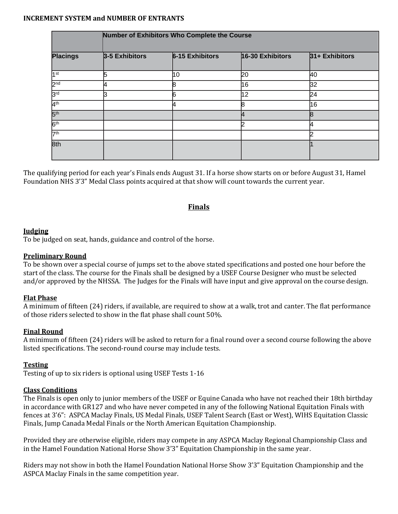#### **INCREMENT SYSTEM and NUMBER OF ENTRANTS**

| <b>Placings</b> | Number of Exhibitors Who Complete the Course |                 |                  |                |  |  |  |  |
|-----------------|----------------------------------------------|-----------------|------------------|----------------|--|--|--|--|
|                 | 3-5 Exhibitors                               | 6-15 Exhibitors | 16-30 Exhibitors | 31+ Exhibitors |  |  |  |  |
| 1 st            |                                              | 10              | 20               | 40             |  |  |  |  |
| 2 <sub>nd</sub> |                                              |                 | 16               | 32             |  |  |  |  |
| 3rd             |                                              |                 | 12               | 24             |  |  |  |  |
| 4 <sup>th</sup> |                                              |                 | R                | 16             |  |  |  |  |
| 5 <sup>th</sup> |                                              |                 | 14               | R              |  |  |  |  |
| 6 <sup>th</sup> |                                              |                 |                  |                |  |  |  |  |
| 7 <sup>th</sup> |                                              |                 |                  |                |  |  |  |  |
| 8th             |                                              |                 |                  |                |  |  |  |  |

The qualifying period for each year's Finals ends August 31. If a horse show starts on or before August 31, Hamel Foundation NHS 3'3" Medal Class points acquired at that show will count towards the current year.

# **Finals**

### **Judging**

To be judged on seat, hands, guidance and control of the horse.

### **Preliminary Round**

To be shown over a special course of jumps set to the above stated specifications and posted one hour before the start of the class. The course for the Finals shall be designed by a USEF Course Designer who must be selected and/or approved by the NHSSA. The Judges for the Finals will have input and give approval on the course design.

#### **Flat Phase**

A minimum of fifteen (24) riders, if available, are required to show at a walk, trot and canter. The flat performance of those riders selected to show in the flat phase shall count 50%.

# **Final Round**

A minimum of fifteen (24) riders will be asked to return for a final round over a second course following the above listed specifications. The second-round course may include tests.

#### **Testing**

Testing of up to six riders is optional using USEF Tests 1-16

#### **Class Conditions**

The Finals is open only to junior members of the USEF or Equine Canada who have not reached their 18th birthday in accordance with GR127 and who have never competed in any of the following National Equitation Finals with fences at 3'6": ASPCA Maclay Finals, US Medal Finals, USEF Talent Search (East or West), WIHS Equitation Classic Finals, Jump Canada Medal Finals or the North American Equitation Championship.

Provided they are otherwise eligible, riders may compete in any ASPCA Maclay Regional Championship Class and in the Hamel Foundation National Horse Show 3'3" Equitation Championship in the same year.

Riders may not show in both the Hamel Foundation National Horse Show 3'3" Equitation Championship and the ASPCA Maclay Finals in the same competition year.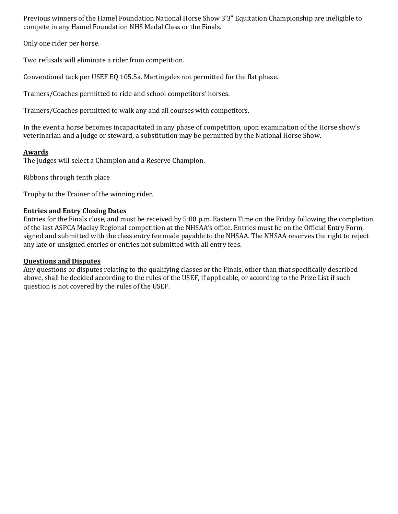Previous winners of the Hamel Foundation National Horse Show 3'3" Equitation Championship are ineligible to compete in any Hamel Foundation NHS Medal Class or the Finals.

Only one rider per horse.

Two refusals will eliminate a rider from competition.

Conventional tack per USEF EQ 105.5a. Martingales not permitted for the flat phase.

Trainers/Coaches permitted to ride and school competitors' horses.

Trainers/Coaches permitted to walk any and all courses with competitors.

In the event a horse becomes incapacitated in any phase of competition, upon examination of the Horse show's veterinarian and a judge or steward, a substitution may be permitted by the National Horse Show.

# **Awards**

The Judges will select a Champion and a Reserve Champion.

Ribbons through tenth place

Trophy to the Trainer of the winning rider.

### **Entries and Entry Closing Dates**

Entries for the Finals close, and must be received by 5:00 p.m. Eastern Time on the Friday following the completion of the last ASPCA Maclay Regional competition at the NHSAA's office. Entries must be on the Official Entry Form, signed and submitted with the class entry fee made payable to the NHSAA. The NHSAA reserves the right to reject any late or unsigned entries or entries not submitted with all entry fees.

#### **Questions and Disputes**

Any questions or disputes relating to the qualifying classes or the Finals, other than that specifically described above, shall be decided according to the rules of the USEF, if applicable, or according to the Prize List if such question is not covered by the rules of the USEF.